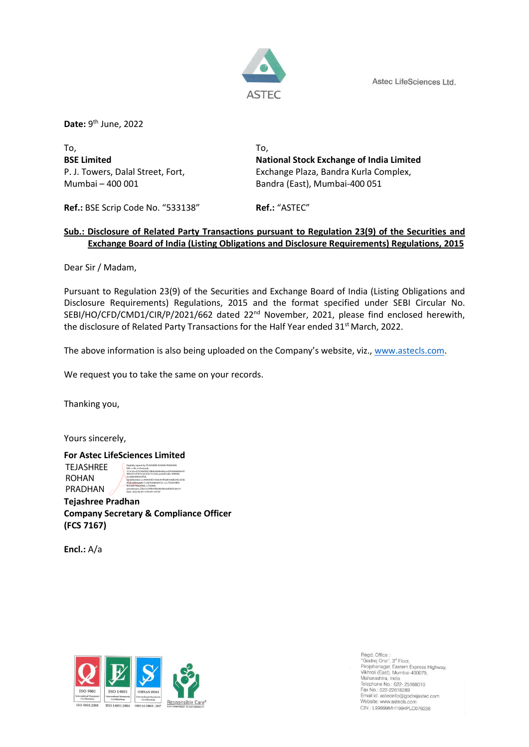Astec LifeSciences Ltd.



**Date:** 9<sup>th</sup> June, 2022

To, To,

**BSE Limited National Stock Exchange of India Limited** P. J. Towers, Dalal Street, Fort, Exchange Plaza, Bandra Kurla Complex, Mumbai – 400 001 Bandra (East), Mumbai-400 051

**Ref.:** BSE Scrip Code No. "533138" **Ref.:** "ASTEC"

## **Sub.: Disclosure of Related Party Transactions pursuant to Regulation 23(9) of the Securities and Exchange Board of India (Listing Obligations and Disclosure Requirements) Regulations, 2015**

Dear Sir / Madam,

Pursuant to Regulation 23(9) of the Securities and Exchange Board of India (Listing Obligations and Disclosure Requirements) Regulations, 2015 and the format specified under SEBI Circular No. SEBI/HO/CFD/CMD1/CIR/P/2021/662 dated 22<sup>nd</sup> November, 2021, please find enclosed herewith, the disclosure of Related Party Transactions for the Half Year ended 31<sup>st</sup> March, 2022.

The above information is also being uploaded on the Company's website, viz., [www.astecls.com.](http://www.astecls.com/)

We request you to take the same on your records.

Thanking you,

Yours sincerely,

**For Astec LifeSciences Limited Tejashree Pradhan Company Secretary & Compliance Officer** TEJASHREE ROHAN PRADHAN Digitally signed by TEJASHREE ROHAN PRADHAN DN: c=IN, o=Personal, 2.5.4.20=d7353bf95b7d8de2bb8a40acecbf3d366b9b547 485e521d767e1a5353c31c3a0, postalCode=400606, st=MAHARASHTRA, serialNumber=cc444393f2150dc819f3d8164db345c555b 40cb184b6ae8611cda7b9d64587a7, cn=TEJASHREE ROHAN PRADHAN, l=THANE, pseudonym=22b31a79fb934b36b4be2e85835a9a14 Date: 2022.06.09 15:45:09 +05'30'

**Encl.:** A/a

**(FCS 7167)**



Regd. Office :<br>"Godrej One", 3<sup>ª</sup> Floor, Pirojshanagar, Eastern Express Highway,<br>Pirojshanagar, Eastern Express Highway,<br>Vikhroli (East), Mumbai-400079, Maharashtra, India<br>Telephone No.: 022- 25188010<br>Fax No.: 022-22618289 Email id: astecinfo@godrejastec.com Website: www.astecls.com CIN : L99999MH1994PLC076236